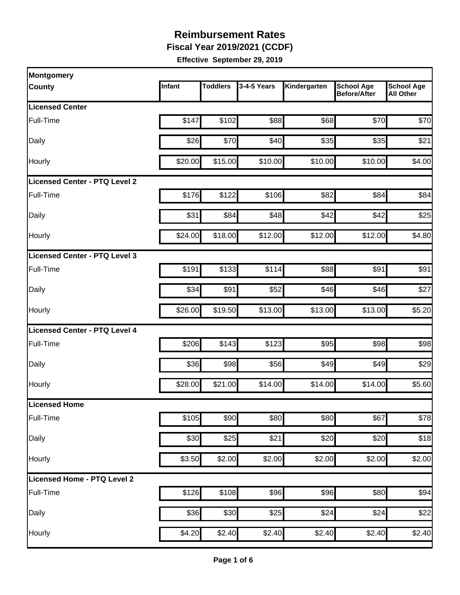**Fiscal Year 2019/2021 (CCDF)** 

| Montgomery                           |         |                 |             |              |                                          |                                       |
|--------------------------------------|---------|-----------------|-------------|--------------|------------------------------------------|---------------------------------------|
| <b>County</b>                        | Infant  | <b>Toddlers</b> | 3-4-5 Years | Kindergarten | <b>School Age</b><br><b>Before/After</b> | <b>School Age</b><br><b>All Other</b> |
| <b>Licensed Center</b>               |         |                 |             |              |                                          |                                       |
| Full-Time                            | \$147   | \$102           | \$88        | \$68         | \$70                                     | \$70                                  |
| Daily                                | \$26    | \$70            | \$40        | \$35         | \$35                                     | \$21                                  |
| Hourly                               | \$20.00 | \$15.00         | \$10.00     | \$10.00      | \$10.00                                  | \$4.00                                |
| <b>Licensed Center - PTQ Level 2</b> |         |                 |             |              |                                          |                                       |
| Full-Time                            | \$176   | \$122           | \$106       | \$82         | \$84                                     | \$84                                  |
| Daily                                | \$31    | \$84            | \$48        | \$42         | \$42                                     | \$25                                  |
| Hourly                               | \$24.00 | \$18.00         | \$12.00     | \$12.00      | \$12.00                                  | \$4.80                                |
| Licensed Center - PTQ Level 3        |         |                 |             |              |                                          |                                       |
| Full-Time                            | \$191   | \$133           | \$114       | \$88         | \$91                                     | \$91                                  |
| Daily                                | \$34    | \$91            | \$52        | \$46         | \$46                                     | \$27                                  |
| Hourly                               | \$26.00 | \$19.50         | \$13.00     | \$13.00      | \$13.00                                  | \$5.20                                |
| Licensed Center - PTQ Level 4        |         |                 |             |              |                                          |                                       |
| Full-Time                            | \$206   | \$143           | \$123       | \$95         | \$98                                     | \$98                                  |
| Daily                                | \$36    | \$98            | \$56        | \$49         | \$49                                     | \$29                                  |
| Hourly                               | \$28.00 | \$21.00         | \$14.00     | \$14.00      | \$14.00                                  | \$5.60                                |
| Licensed Home                        |         |                 |             |              |                                          |                                       |
| Full-Time                            | \$105   | \$90            | \$80        | \$80         | \$67                                     | \$78                                  |
| Daily                                | \$30    | \$25            | \$21        | \$20         | \$20                                     | \$18                                  |
| Hourly                               | \$3.50  | \$2.00          | \$2.00      | \$2.00       | \$2.00                                   | \$2.00                                |
| Licensed Home - PTQ Level 2          |         |                 |             |              |                                          |                                       |
| Full-Time                            | \$126   | \$108           | \$96        | \$96         | \$80                                     | \$94                                  |
| Daily                                | \$36    | \$30            | \$25        | \$24         | \$24                                     | \$22                                  |
| Hourly                               | \$4.20  | \$2.40          | \$2.40      | \$2.40       | \$2.40                                   | \$2.40                                |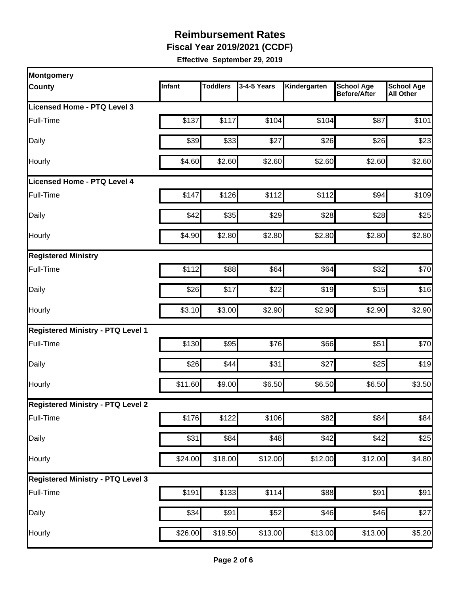**Fiscal Year 2019/2021 (CCDF)** 

| Montgomery                               |         |                 |             |              |                                   |                                       |
|------------------------------------------|---------|-----------------|-------------|--------------|-----------------------------------|---------------------------------------|
| County                                   | Infant  | <b>Toddlers</b> | 3-4-5 Years | Kindergarten | <b>School Age</b><br>Before/After | <b>School Age</b><br><b>All Other</b> |
| Licensed Home - PTQ Level 3              |         |                 |             |              |                                   |                                       |
| Full-Time                                | \$137   | \$117           | \$104       | \$104        | \$87                              | \$101                                 |
| Daily                                    | \$39    | \$33            | \$27        | \$26         | \$26                              | \$23                                  |
| Hourly                                   | \$4.60  | \$2.60          | \$2.60      | \$2.60       | \$2.60                            | \$2.60                                |
| <b>Licensed Home - PTQ Level 4</b>       |         |                 |             |              |                                   |                                       |
| Full-Time                                | \$147   | \$126           | \$112       | \$112        | \$94                              | \$109                                 |
| Daily                                    | \$42    | \$35            | \$29        | \$28         | \$28                              | \$25                                  |
| Hourly                                   | \$4.90  | \$2.80          | \$2.80      | \$2.80       | \$2.80                            | \$2.80                                |
| <b>Registered Ministry</b>               |         |                 |             |              |                                   |                                       |
| Full-Time                                | \$112   | \$88            | \$64        | \$64         | \$32                              | \$70                                  |
| Daily                                    | \$26    | \$17            | \$22        | \$19         | \$15                              | \$16                                  |
| Hourly                                   | \$3.10  | \$3.00          | \$2.90      | \$2.90       | \$2.90                            | \$2.90                                |
| <b>Registered Ministry - PTQ Level 1</b> |         |                 |             |              |                                   |                                       |
| Full-Time                                | \$130   | \$95            | \$76        | \$66         | \$51                              | \$70                                  |
| Daily                                    | \$26    | \$44            | \$31        | \$27         | \$25                              | \$19                                  |
| Hourly                                   | \$11.60 | \$9.00          | \$6.50      | \$6.50       | \$6.50                            | \$3.50                                |
| <b>Registered Ministry - PTQ Level 2</b> |         |                 |             |              |                                   |                                       |
| Full-Time                                | \$176   | \$122           | \$106       | \$82         | \$84                              | \$84                                  |
| Daily                                    | \$31    | \$84            | \$48        | \$42         | \$42                              | \$25                                  |
| Hourly                                   | \$24.00 | \$18.00         | \$12.00     | \$12.00      | \$12.00                           | \$4.80                                |
| <b>Registered Ministry - PTQ Level 3</b> |         |                 |             |              |                                   |                                       |
| Full-Time                                | \$191   | \$133           | \$114       | \$88         | \$91                              | \$91                                  |
| Daily                                    | \$34    | \$91            | \$52        | \$46         | \$46                              | \$27                                  |
| Hourly                                   | \$26.00 | \$19.50         | \$13.00     | \$13.00      | \$13.00                           | \$5.20                                |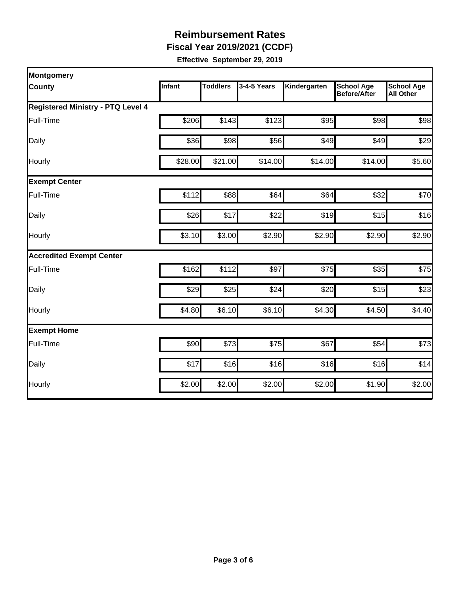**Fiscal Year 2019/2021 (CCDF)** 

| Montgomery                               |               |                 |             |              |                                          |                                       |
|------------------------------------------|---------------|-----------------|-------------|--------------|------------------------------------------|---------------------------------------|
| <b>County</b>                            | <b>Infant</b> | <b>Toddlers</b> | 3-4-5 Years | Kindergarten | <b>School Age</b><br><b>Before/After</b> | <b>School Age</b><br><b>All Other</b> |
| <b>Registered Ministry - PTQ Level 4</b> |               |                 |             |              |                                          |                                       |
| Full-Time                                | \$206         | \$143           | \$123       | \$95         | \$98                                     | \$98                                  |
| Daily                                    | \$36          | \$98            | \$56        | \$49         | \$49                                     | \$29                                  |
| Hourly                                   | \$28.00       | \$21.00         | \$14.00     | \$14.00      | \$14.00                                  | \$5.60                                |
| <b>Exempt Center</b>                     |               |                 |             |              |                                          |                                       |
| Full-Time                                | \$112         | \$88            | \$64        | \$64         | \$32                                     | \$70                                  |
| Daily                                    | \$26          | \$17            | \$22        | \$19         | \$15                                     | \$16                                  |
| Hourly                                   | \$3.10        | \$3.00          | \$2.90      | \$2.90       | \$2.90                                   | \$2.90                                |
| <b>Accredited Exempt Center</b>          |               |                 |             |              |                                          |                                       |
| Full-Time                                | \$162         | \$112           | \$97        | \$75         | \$35                                     | \$75                                  |
| Daily                                    | \$29          | \$25            | \$24        | \$20         | \$15                                     | \$23                                  |
| Hourly                                   | \$4.80        | \$6.10          | \$6.10      | \$4.30       | \$4.50                                   | \$4.40                                |
| <b>Exempt Home</b>                       |               |                 |             |              |                                          |                                       |
| Full-Time                                | \$90          | \$73            | \$75        | \$67         | \$54                                     | \$73                                  |
| Daily                                    | \$17          | \$16            | \$16        | \$16         | \$16                                     | \$14                                  |
| Hourly                                   | \$2.00        | \$2.00          | \$2.00      | \$2.00       | \$1.90                                   | \$2.00                                |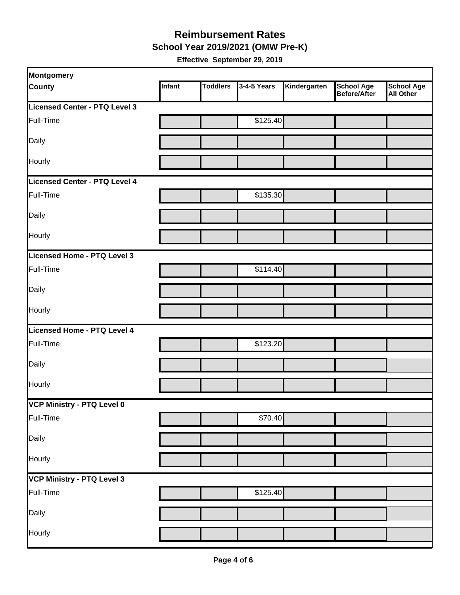#### **Reimbursement Rates School Year 2019/2021 (OMW Pre-K)**

| Montgomery                    |        |                 |             |              |                                          |                                       |
|-------------------------------|--------|-----------------|-------------|--------------|------------------------------------------|---------------------------------------|
| <b>County</b>                 | Infant | <b>Toddlers</b> | 3-4-5 Years | Kindergarten | <b>School Age</b><br><b>Before/After</b> | <b>School Age</b><br><b>All Other</b> |
| Licensed Center - PTQ Level 3 |        |                 |             |              |                                          |                                       |
| Full-Time                     |        |                 | \$125.40    |              |                                          |                                       |
| Daily                         |        |                 |             |              |                                          |                                       |
| Hourly                        |        |                 |             |              |                                          |                                       |
| Licensed Center - PTQ Level 4 |        |                 |             |              |                                          |                                       |
| Full-Time                     |        |                 | \$135.30    |              |                                          |                                       |
| Daily                         |        |                 |             |              |                                          |                                       |
| Hourly                        |        |                 |             |              |                                          |                                       |
| Licensed Home - PTQ Level 3   |        |                 |             |              |                                          |                                       |
| Full-Time                     |        |                 | \$114.40    |              |                                          |                                       |
| Daily                         |        |                 |             |              |                                          |                                       |
| Hourly                        |        |                 |             |              |                                          |                                       |
| Licensed Home - PTQ Level 4   |        |                 |             |              |                                          |                                       |
| Full-Time                     |        |                 | \$123.20    |              |                                          |                                       |
| Daily                         |        |                 |             |              |                                          |                                       |
| Hourly                        |        |                 |             |              |                                          |                                       |
| VCP Ministry - PTQ Level 0    |        |                 |             |              |                                          |                                       |
| Full-Time                     |        |                 | \$70.40     |              |                                          |                                       |
| Daily                         |        |                 |             |              |                                          |                                       |
| Hourly                        |        |                 |             |              |                                          |                                       |
| VCP Ministry - PTQ Level 3    |        |                 |             |              |                                          |                                       |
| Full-Time                     |        |                 | \$125.40    |              |                                          |                                       |
| Daily                         |        |                 |             |              |                                          |                                       |
| Hourly                        |        |                 |             |              |                                          |                                       |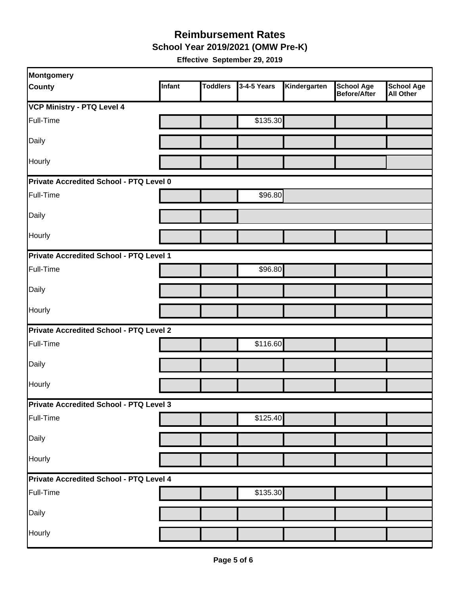**School Year 2019/2021 (OMW Pre-K)** 

| Montgomery                                     |        |                 |             |              |                                          |                         |  |  |
|------------------------------------------------|--------|-----------------|-------------|--------------|------------------------------------------|-------------------------|--|--|
| County                                         | Infant | <b>Toddlers</b> | 3-4-5 Years | Kindergarten | <b>School Age</b><br><b>Before/After</b> | School Age<br>All Other |  |  |
| <b>VCP Ministry - PTQ Level 4</b>              |        |                 |             |              |                                          |                         |  |  |
| Full-Time                                      |        |                 | \$135.30    |              |                                          |                         |  |  |
| Daily                                          |        |                 |             |              |                                          |                         |  |  |
| Hourly                                         |        |                 |             |              |                                          |                         |  |  |
| Private Accredited School - PTQ Level 0        |        |                 |             |              |                                          |                         |  |  |
| Full-Time                                      |        |                 | \$96.80     |              |                                          |                         |  |  |
| Daily                                          |        |                 |             |              |                                          |                         |  |  |
| Hourly                                         |        |                 |             |              |                                          |                         |  |  |
| Private Accredited School - PTQ Level 1        |        |                 |             |              |                                          |                         |  |  |
| Full-Time                                      |        |                 | \$96.80     |              |                                          |                         |  |  |
| Daily                                          |        |                 |             |              |                                          |                         |  |  |
| Hourly                                         |        |                 |             |              |                                          |                         |  |  |
| Private Accredited School - PTQ Level 2        |        |                 |             |              |                                          |                         |  |  |
| Full-Time                                      |        |                 | \$116.60    |              |                                          |                         |  |  |
| Daily                                          |        |                 |             |              |                                          |                         |  |  |
| Hourly                                         |        |                 |             |              |                                          |                         |  |  |
| <b>Private Accredited School - PTQ Level 3</b> |        |                 |             |              |                                          |                         |  |  |
| Full-Time                                      |        |                 | \$125.40    |              |                                          |                         |  |  |
| Daily                                          |        |                 |             |              |                                          |                         |  |  |
| Hourly                                         |        |                 |             |              |                                          |                         |  |  |
| Private Accredited School - PTQ Level 4        |        |                 |             |              |                                          |                         |  |  |
| Full-Time                                      |        |                 | \$135.30    |              |                                          |                         |  |  |
| Daily                                          |        |                 |             |              |                                          |                         |  |  |
| Hourly                                         |        |                 |             |              |                                          |                         |  |  |